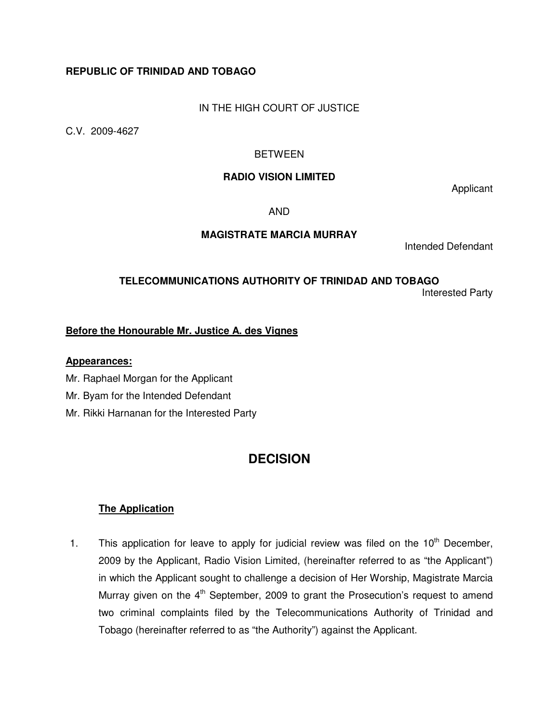# **REPUBLIC OF TRINIDAD AND TOBAGO**

## IN THE HIGH COURT OF JUSTICE

C.V. 2009-4627

## BETWEEN

#### **RADIO VISION LIMITED**

Applicant

AND

## **MAGISTRATE MARCIA MURRAY**

Intended Defendant

#### **TELECOMMUNICATIONS AUTHORITY OF TRINIDAD AND TOBAGO** Interested Party

## **Before the Honourable Mr. Justice A. des Vignes**

#### **Appearances:**

- Mr. Raphael Morgan for the Applicant
- Mr. Byam for the Intended Defendant
- Mr. Rikki Harnanan for the Interested Party

# **DECISION**

## **The Application**

1. This application for leave to apply for judicial review was filed on the  $10<sup>th</sup>$  December, 2009 by the Applicant, Radio Vision Limited, (hereinafter referred to as "the Applicant") in which the Applicant sought to challenge a decision of Her Worship, Magistrate Marcia Murray given on the 4<sup>th</sup> September, 2009 to grant the Prosecution's request to amend two criminal complaints filed by the Telecommunications Authority of Trinidad and Tobago (hereinafter referred to as "the Authority") against the Applicant.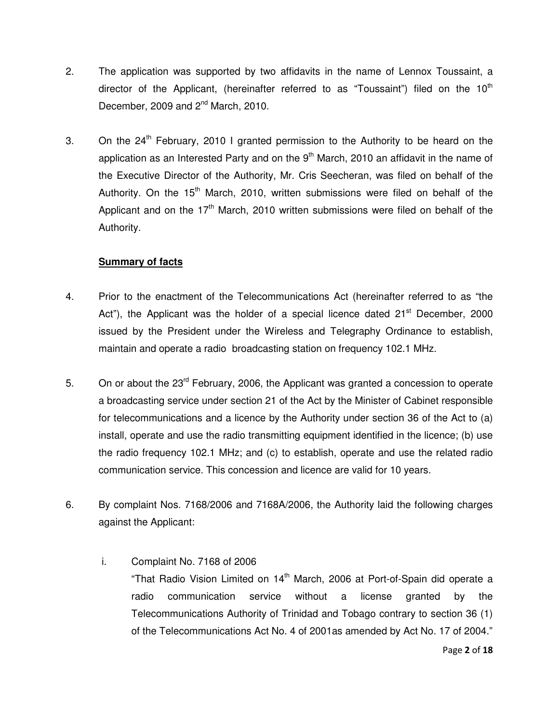- 2. The application was supported by two affidavits in the name of Lennox Toussaint, a director of the Applicant, (hereinafter referred to as "Toussaint") filed on the  $10<sup>th</sup>$ December, 2009 and 2<sup>nd</sup> March, 2010.
- 3. On the  $24<sup>th</sup>$  February, 2010 I granted permission to the Authority to be heard on the application as an Interested Party and on the  $9<sup>th</sup>$  March, 2010 an affidavit in the name of the Executive Director of the Authority, Mr. Cris Seecheran, was filed on behalf of the Authority. On the  $15<sup>th</sup>$  March, 2010, written submissions were filed on behalf of the Applicant and on the  $17<sup>th</sup>$  March, 2010 written submissions were filed on behalf of the Authority.

# **Summary of facts**

- 4. Prior to the enactment of the Telecommunications Act (hereinafter referred to as "the Act"), the Applicant was the holder of a special licence dated  $21<sup>st</sup>$  December, 2000 issued by the President under the Wireless and Telegraphy Ordinance to establish, maintain and operate a radio broadcasting station on frequency 102.1 MHz.
- 5. On or about the 23<sup>rd</sup> February, 2006, the Applicant was granted a concession to operate a broadcasting service under section 21 of the Act by the Minister of Cabinet responsible for telecommunications and a licence by the Authority under section 36 of the Act to (a) install, operate and use the radio transmitting equipment identified in the licence; (b) use the radio frequency 102.1 MHz; and (c) to establish, operate and use the related radio communication service. This concession and licence are valid for 10 years.
- 6. By complaint Nos. 7168/2006 and 7168A/2006, the Authority laid the following charges against the Applicant:
	- i. Complaint No. 7168 of 2006 "That Radio Vision Limited on  $14<sup>th</sup>$  March, 2006 at Port-of-Spain did operate a radio communication service without a license granted by the Telecommunications Authority of Trinidad and Tobago contrary to section 36 (1) of the Telecommunications Act No. 4 of 2001as amended by Act No. 17 of 2004."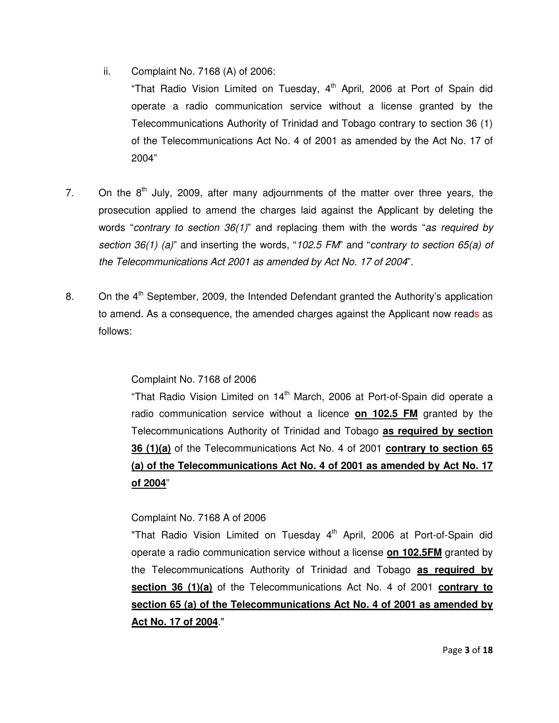ii. Complaint No. 7168 (A) of 2006:

"That Radio Vision Limited on Tuesday,  $4<sup>th</sup>$  April, 2006 at Port of Spain did operate a radio communication service without a license granted by the Telecommunications Authority of Trinidad and Tobago contrary to section 36 (1) of the Telecommunications Act No. 4 of 2001 as amended by the Act No. 17 of 2004"

- 7. On the  $8<sup>th</sup>$  July, 2009, after many adjournments of the matter over three years, the prosecution applied to amend the charges laid against the Applicant by deleting the words "contrary to section  $36(1)$ " and replacing them with the words "as required by section 36(1) (a)" and inserting the words, "102.5 FM" and "contrary to section 65(a) of the Telecommunications Act 2001 as amended by Act No. 17 of 2004".
- 8. On the  $4<sup>th</sup>$  September, 2009, the Intended Defendant granted the Authority's application to amend. As a consequence, the amended charges against the Applicant now reads as follows:

## Complaint No. 7168 of 2006

"That Radio Vision Limited on  $14<sup>th</sup>$  March, 2006 at Port-of-Spain did operate a radio communication service without a licence **on 102.5 FM** granted by the Telecommunications Authority of Trinidad and Tobago **as required by section 36 (1)(a)** of the Telecommunications Act No. 4 of 2001 **contrary to section 65 (a) of the Telecommunications Act No. 4 of 2001 as amended by Act No. 17 of 2004**"

## Complaint No. 7168 A of 2006

"That Radio Vision Limited on Tuesday 4<sup>th</sup> April, 2006 at Port-of-Spain did operate a radio communication service without a license **on 102.5FM** granted by the Telecommunications Authority of Trinidad and Tobago **as required by section 36 (1)(a)** of the Telecommunications Act No. 4 of 2001 **contrary to section 65 (a) of the Telecommunications Act No. 4 of 2001 as amended by Act No. 17 of 2004**."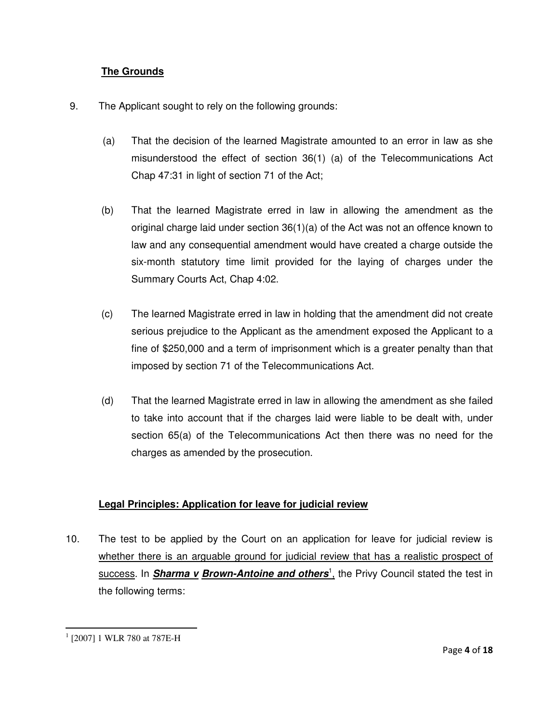## **The Grounds**

- 9. The Applicant sought to rely on the following grounds:
	- (a) That the decision of the learned Magistrate amounted to an error in law as she misunderstood the effect of section 36(1) (a) of the Telecommunications Act Chap 47:31 in light of section 71 of the Act;
	- (b) That the learned Magistrate erred in law in allowing the amendment as the original charge laid under section 36(1)(a) of the Act was not an offence known to law and any consequential amendment would have created a charge outside the six-month statutory time limit provided for the laying of charges under the Summary Courts Act, Chap 4:02.
	- (c) The learned Magistrate erred in law in holding that the amendment did not create serious prejudice to the Applicant as the amendment exposed the Applicant to a fine of \$250,000 and a term of imprisonment which is a greater penalty than that imposed by section 71 of the Telecommunications Act.
	- (d) That the learned Magistrate erred in law in allowing the amendment as she failed to take into account that if the charges laid were liable to be dealt with, under section 65(a) of the Telecommunications Act then there was no need for the charges as amended by the prosecution.

# **Legal Principles: Application for leave for judicial review**

10. The test to be applied by the Court on an application for leave for judicial review is whether there is an arguable ground for judicial review that has a realistic prospect of success. In **Sharma v Brown-Antoine and others**<sup>1</sup>, the Privy Council stated the test in the following terms:

<sup>1</sup> [2007] 1 WLR 780 at 787E-H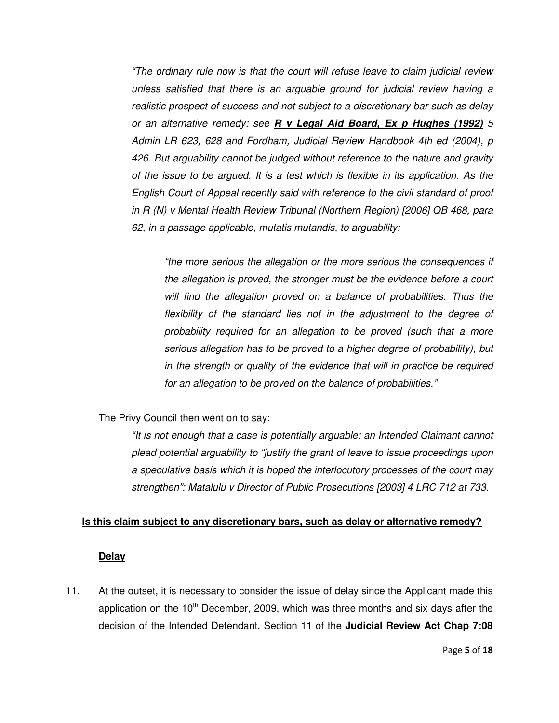"The ordinary rule now is that the court will refuse leave to claim judicial review unless satisfied that there is an arguable ground for judicial review having a realistic prospect of success and not subject to a discretionary bar such as delay or an alternative remedy: see **R v Legal Aid Board, Ex p Hughes (1992)** 5 Admin LR 623, 628 and Fordham, Judicial Review Handbook 4th ed (2004), p 426. But arguability cannot be judged without reference to the nature and gravity of the issue to be argued. It is a test which is flexible in its application. As the English Court of Appeal recently said with reference to the civil standard of proof in R (N) v Mental Health Review Tribunal (Northern Region) [2006] QB 468, para 62, in a passage applicable, mutatis mutandis, to arguability:

"the more serious the allegation or the more serious the consequences if the allegation is proved, the stronger must be the evidence before a court will find the allegation proved on a balance of probabilities. Thus the flexibility of the standard lies not in the adjustment to the degree of probability required for an allegation to be proved (such that a more serious allegation has to be proved to a higher degree of probability), but in the strength or quality of the evidence that will in practice be required for an allegation to be proved on the balance of probabilities."

The Privy Council then went on to say:

"It is not enough that a case is potentially arguable: an Intended Claimant cannot plead potential arguability to "justify the grant of leave to issue proceedings upon a speculative basis which it is hoped the interlocutory processes of the court may strengthen": Matalulu v Director of Public Prosecutions [2003] 4 LRC 712 at 733.

#### **Is this claim subject to any discretionary bars, such as delay or alternative remedy?**

#### **Delay**

11. At the outset, it is necessary to consider the issue of delay since the Applicant made this application on the  $10<sup>th</sup>$  December, 2009, which was three months and six days after the decision of the Intended Defendant. Section 11 of the **Judicial Review Act Chap 7:08**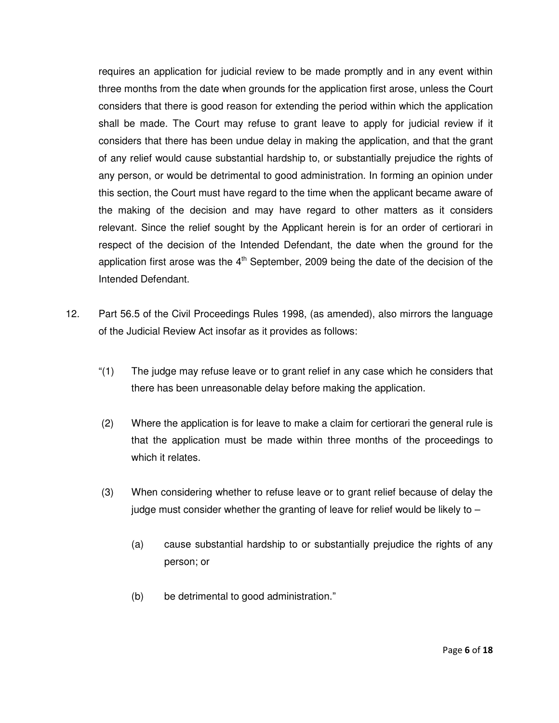requires an application for judicial review to be made promptly and in any event within three months from the date when grounds for the application first arose, unless the Court considers that there is good reason for extending the period within which the application shall be made. The Court may refuse to grant leave to apply for judicial review if it considers that there has been undue delay in making the application, and that the grant of any relief would cause substantial hardship to, or substantially prejudice the rights of any person, or would be detrimental to good administration. In forming an opinion under this section, the Court must have regard to the time when the applicant became aware of the making of the decision and may have regard to other matters as it considers relevant. Since the relief sought by the Applicant herein is for an order of certiorari in respect of the decision of the Intended Defendant, the date when the ground for the application first arose was the  $4<sup>th</sup>$  September, 2009 being the date of the decision of the Intended Defendant.

- 12. Part 56.5 of the Civil Proceedings Rules 1998, (as amended), also mirrors the language of the Judicial Review Act insofar as it provides as follows:
	- "(1) The judge may refuse leave or to grant relief in any case which he considers that there has been unreasonable delay before making the application.
	- (2) Where the application is for leave to make a claim for certiorari the general rule is that the application must be made within three months of the proceedings to which it relates.
	- (3) When considering whether to refuse leave or to grant relief because of delay the judge must consider whether the granting of leave for relief would be likely to –
		- (a) cause substantial hardship to or substantially prejudice the rights of any person; or
		- (b) be detrimental to good administration."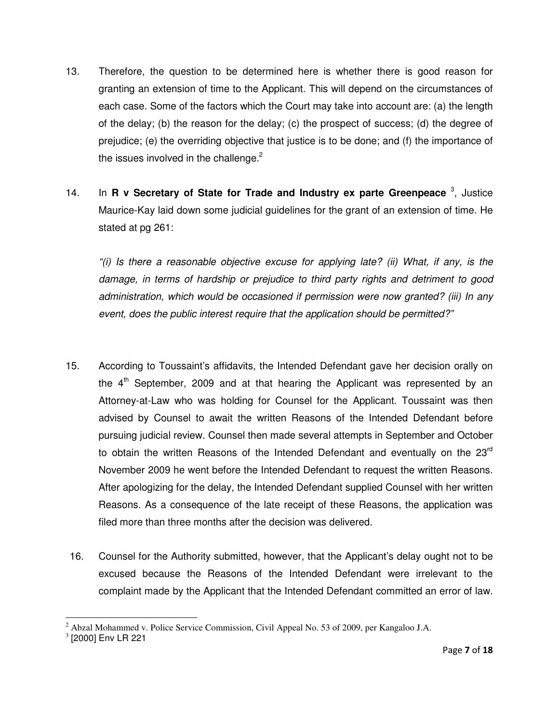- 13. Therefore, the question to be determined here is whether there is good reason for granting an extension of time to the Applicant. This will depend on the circumstances of each case. Some of the factors which the Court may take into account are: (a) the length of the delay; (b) the reason for the delay; (c) the prospect of success; (d) the degree of prejudice; (e) the overriding objective that justice is to be done; and (f) the importance of the issues involved in the challenge. $2$
- 14. In **R v Secretary of State for Trade and Industry ex parte Greenpeace** <sup>3</sup>, Justice Maurice-Kay laid down some judicial guidelines for the grant of an extension of time. He stated at pg 261:

"(i) Is there a reasonable objective excuse for applying late? (ii) What, if any, is the damage, in terms of hardship or prejudice to third party rights and detriment to good administration, which would be occasioned if permission were now granted? (iii) In any event, does the public interest require that the application should be permitted?"

- 15. According to Toussaint's affidavits, the Intended Defendant gave her decision orally on the  $4<sup>th</sup>$  September, 2009 and at that hearing the Applicant was represented by an Attorney-at-Law who was holding for Counsel for the Applicant. Toussaint was then advised by Counsel to await the written Reasons of the Intended Defendant before pursuing judicial review. Counsel then made several attempts in September and October to obtain the written Reasons of the Intended Defendant and eventually on the  $23<sup>rd</sup>$ November 2009 he went before the Intended Defendant to request the written Reasons. After apologizing for the delay, the Intended Defendant supplied Counsel with her written Reasons. As a consequence of the late receipt of these Reasons, the application was filed more than three months after the decision was delivered.
- 16. Counsel for the Authority submitted, however, that the Applicant's delay ought not to be excused because the Reasons of the Intended Defendant were irrelevant to the complaint made by the Applicant that the Intended Defendant committed an error of law.

 $2$  Abzal Mohammed v. Police Service Commission, Civil Appeal No. 53 of 2009, per Kangaloo J.A.

<sup>3</sup> [2000] Env LR 221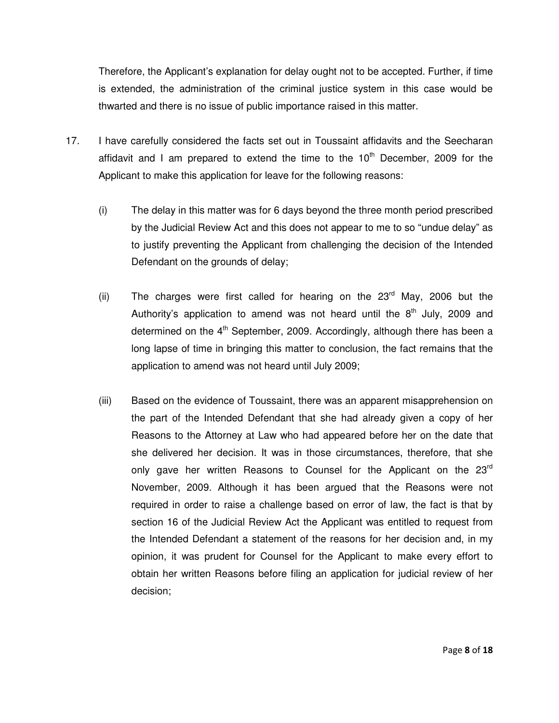Therefore, the Applicant's explanation for delay ought not to be accepted. Further, if time is extended, the administration of the criminal justice system in this case would be thwarted and there is no issue of public importance raised in this matter.

- 17. I have carefully considered the facts set out in Toussaint affidavits and the Seecharan affidavit and I am prepared to extend the time to the  $10<sup>th</sup>$  December, 2009 for the Applicant to make this application for leave for the following reasons:
	- (i) The delay in this matter was for 6 days beyond the three month period prescribed by the Judicial Review Act and this does not appear to me to so "undue delay" as to justify preventing the Applicant from challenging the decision of the Intended Defendant on the grounds of delay;
	- (ii) The charges were first called for hearing on the  $23<sup>rd</sup>$  May, 2006 but the Authority's application to amend was not heard until the  $8<sup>th</sup>$  July, 2009 and determined on the  $4<sup>th</sup>$  September, 2009. Accordingly, although there has been a long lapse of time in bringing this matter to conclusion, the fact remains that the application to amend was not heard until July 2009;
	- (iii) Based on the evidence of Toussaint, there was an apparent misapprehension on the part of the Intended Defendant that she had already given a copy of her Reasons to the Attorney at Law who had appeared before her on the date that she delivered her decision. It was in those circumstances, therefore, that she only gave her written Reasons to Counsel for the Applicant on the 23<sup>rd</sup> November, 2009. Although it has been argued that the Reasons were not required in order to raise a challenge based on error of law, the fact is that by section 16 of the Judicial Review Act the Applicant was entitled to request from the Intended Defendant a statement of the reasons for her decision and, in my opinion, it was prudent for Counsel for the Applicant to make every effort to obtain her written Reasons before filing an application for judicial review of her decision;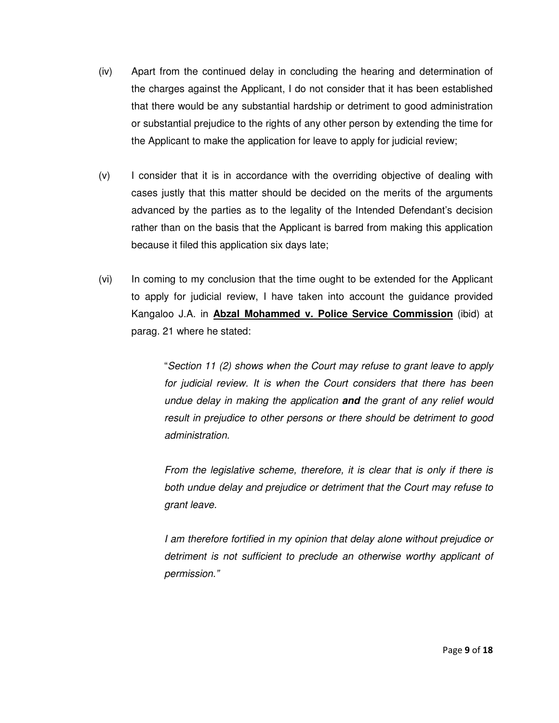- (iv) Apart from the continued delay in concluding the hearing and determination of the charges against the Applicant, I do not consider that it has been established that there would be any substantial hardship or detriment to good administration or substantial prejudice to the rights of any other person by extending the time for the Applicant to make the application for leave to apply for judicial review;
- (v) I consider that it is in accordance with the overriding objective of dealing with cases justly that this matter should be decided on the merits of the arguments advanced by the parties as to the legality of the Intended Defendant's decision rather than on the basis that the Applicant is barred from making this application because it filed this application six days late;
- (vi) In coming to my conclusion that the time ought to be extended for the Applicant to apply for judicial review, I have taken into account the guidance provided Kangaloo J.A. in **Abzal Mohammed v. Police Service Commission** (ibid) at parag. 21 where he stated:

"Section 11 (2) shows when the Court may refuse to grant leave to apply for judicial review. It is when the Court considers that there has been undue delay in making the application **and** the grant of any relief would result in prejudice to other persons or there should be detriment to good administration.

From the legislative scheme, therefore, it is clear that is only if there is both undue delay and prejudice or detriment that the Court may refuse to grant leave.

I am therefore fortified in my opinion that delay alone without prejudice or detriment is not sufficient to preclude an otherwise worthy applicant of permission."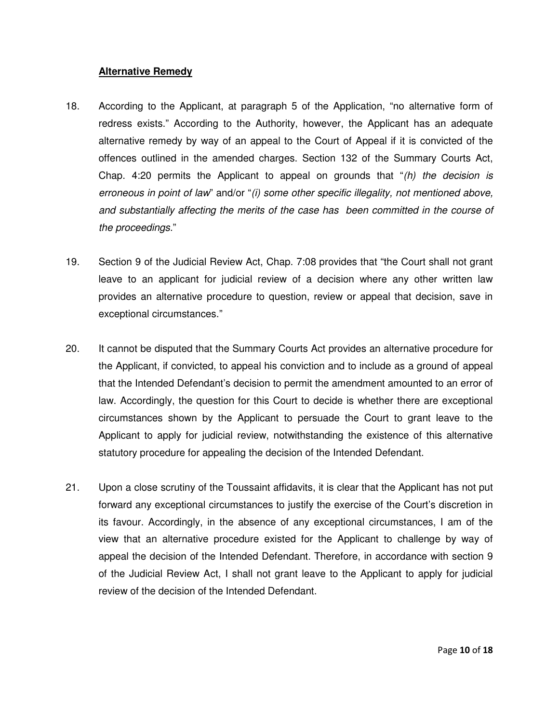## **Alternative Remedy**

- 18. According to the Applicant, at paragraph 5 of the Application, "no alternative form of redress exists." According to the Authority, however, the Applicant has an adequate alternative remedy by way of an appeal to the Court of Appeal if it is convicted of the offences outlined in the amended charges. Section 132 of the Summary Courts Act, Chap. 4:20 permits the Applicant to appeal on grounds that  $f(h)$  the decision is erroneous in point of law" and/or "(i) some other specific illegality, not mentioned above, and substantially affecting the merits of the case has been committed in the course of the proceedings."
- 19. Section 9 of the Judicial Review Act, Chap. 7:08 provides that "the Court shall not grant leave to an applicant for judicial review of a decision where any other written law provides an alternative procedure to question, review or appeal that decision, save in exceptional circumstances."
- 20. It cannot be disputed that the Summary Courts Act provides an alternative procedure for the Applicant, if convicted, to appeal his conviction and to include as a ground of appeal that the Intended Defendant's decision to permit the amendment amounted to an error of law. Accordingly, the question for this Court to decide is whether there are exceptional circumstances shown by the Applicant to persuade the Court to grant leave to the Applicant to apply for judicial review, notwithstanding the existence of this alternative statutory procedure for appealing the decision of the Intended Defendant.
- 21. Upon a close scrutiny of the Toussaint affidavits, it is clear that the Applicant has not put forward any exceptional circumstances to justify the exercise of the Court's discretion in its favour. Accordingly, in the absence of any exceptional circumstances, I am of the view that an alternative procedure existed for the Applicant to challenge by way of appeal the decision of the Intended Defendant. Therefore, in accordance with section 9 of the Judicial Review Act, I shall not grant leave to the Applicant to apply for judicial review of the decision of the Intended Defendant.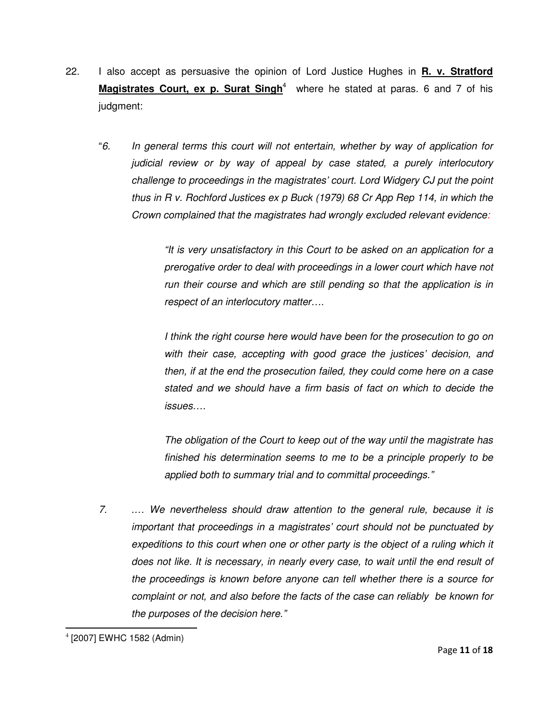- 22. I also accept as persuasive the opinion of Lord Justice Hughes in **R. v. Stratford**  Magistrates Court, ex p. Surat Singh<sup>4</sup> where he stated at paras. 6 and 7 of his judgment:
	- "6. In general terms this court will not entertain, whether by way of application for judicial review or by way of appeal by case stated, a purely interlocutory challenge to proceedings in the magistrates' court. Lord Widgery CJ put the point thus in R v. Rochford Justices ex p Buck (1979) 68 Cr App Rep 114, in which the Crown complained that the magistrates had wrongly excluded relevant evidence:

"It is very unsatisfactory in this Court to be asked on an application for a prerogative order to deal with proceedings in a lower court which have not run their course and which are still pending so that the application is in respect of an interlocutory matter….

I think the right course here would have been for the prosecution to go on with their case, accepting with good grace the justices' decision, and then, if at the end the prosecution failed, they could come here on a case stated and we should have a firm basis of fact on which to decide the issues….

The obligation of the Court to keep out of the way until the magistrate has finished his determination seems to me to be a principle properly to be applied both to summary trial and to committal proceedings."

7. .… We nevertheless should draw attention to the general rule, because it is important that proceedings in a magistrates' court should not be punctuated by expeditions to this court when one or other party is the object of a ruling which it does not like. It is necessary, in nearly every case, to wait until the end result of the proceedings is known before anyone can tell whether there is a source for complaint or not, and also before the facts of the case can reliably be known for the purposes of the decision here."

l 4 [2007] EWHC 1582 (Admin)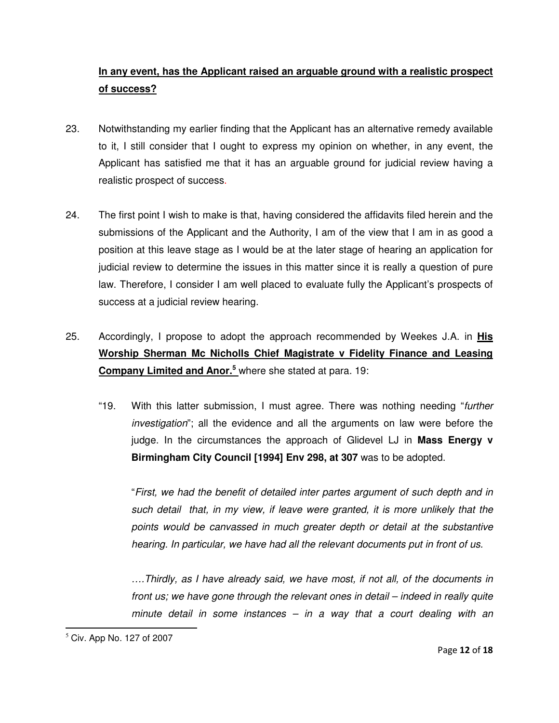# **In any event, has the Applicant raised an arguable ground with a realistic prospect of success?**

- 23. Notwithstanding my earlier finding that the Applicant has an alternative remedy available to it, I still consider that I ought to express my opinion on whether, in any event, the Applicant has satisfied me that it has an arguable ground for judicial review having a realistic prospect of success.
- 24. The first point I wish to make is that, having considered the affidavits filed herein and the submissions of the Applicant and the Authority, I am of the view that I am in as good a position at this leave stage as I would be at the later stage of hearing an application for judicial review to determine the issues in this matter since it is really a question of pure law. Therefore, I consider I am well placed to evaluate fully the Applicant's prospects of success at a judicial review hearing.
- 25. Accordingly, I propose to adopt the approach recommended by Weekes J.A. in **His Worship Sherman Mc Nicholls Chief Magistrate v Fidelity Finance and Leasing Company Limited and Anor.<sup>5</sup>** where she stated at para. 19:
	- "19. With this latter submission, I must agree. There was nothing needing "further investigation"; all the evidence and all the arguments on law were before the judge. In the circumstances the approach of Glidevel LJ in **Mass Energy v Birmingham City Council [1994] Env 298, at 307** was to be adopted.

"First, we had the benefit of detailed inter partes argument of such depth and in such detail that, in my view, if leave were granted, it is more unlikely that the points would be canvassed in much greater depth or detail at the substantive hearing. In particular, we have had all the relevant documents put in front of us.

….Thirdly, as I have already said, we have most, if not all, of the documents in front us; we have gone through the relevant ones in detail – indeed in really quite minute detail in some instances – in a way that a court dealing with an

 $<sup>5</sup>$  Civ. App No. 127 of 2007</sup>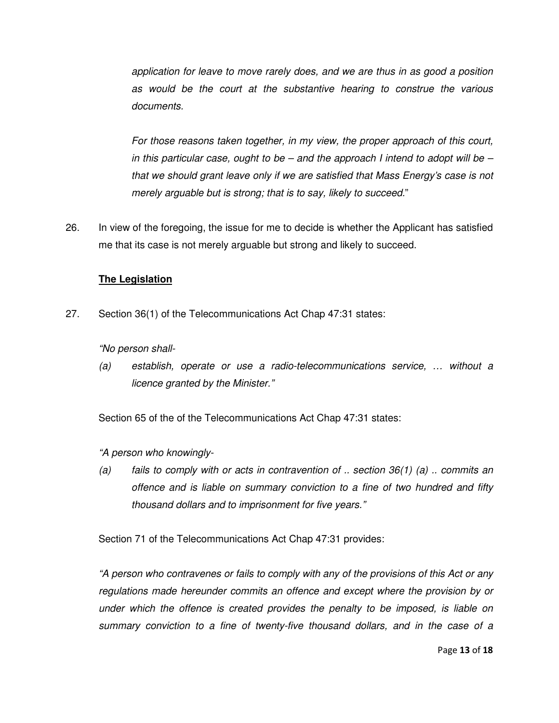application for leave to move rarely does, and we are thus in as good a position as would be the court at the substantive hearing to construe the various documents.

For those reasons taken together, in my view, the proper approach of this court, in this particular case, ought to be  $-$  and the approach I intend to adopt will be  $$ that we should grant leave only if we are satisfied that Mass Energy's case is not merely arguable but is strong; that is to say, likely to succeed."

26. In view of the foregoing, the issue for me to decide is whether the Applicant has satisfied me that its case is not merely arguable but strong and likely to succeed.

## **The Legislation**

27. Section 36(1) of the Telecommunications Act Chap 47:31 states:

"No person shall-

(a) establish, operate or use a radio-telecommunications service, … without a licence granted by the Minister."

Section 65 of the of the Telecommunications Act Chap 47:31 states:

"A person who knowingly-

(a) fails to comply with or acts in contravention of  $\ldots$  section 36(1) (a)  $\ldots$  commits an offence and is liable on summary conviction to a fine of two hundred and fifty thousand dollars and to imprisonment for five years."

Section 71 of the Telecommunications Act Chap 47:31 provides:

"A person who contravenes or fails to comply with any of the provisions of this Act or any regulations made hereunder commits an offence and except where the provision by or under which the offence is created provides the penalty to be imposed, is liable on summary conviction to a fine of twenty-five thousand dollars, and in the case of a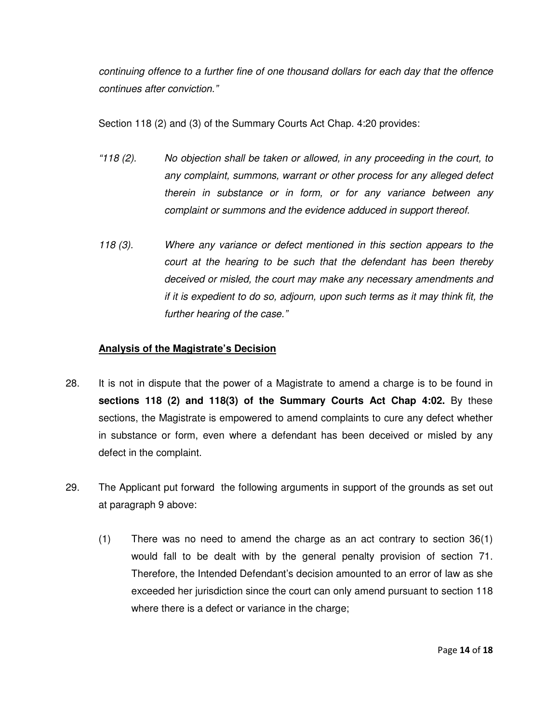continuing offence to a further fine of one thousand dollars for each day that the offence continues after conviction."

Section 118 (2) and (3) of the Summary Courts Act Chap. 4:20 provides:

- "118 (2). No objection shall be taken or allowed, in any proceeding in the court, to any complaint, summons, warrant or other process for any alleged defect therein in substance or in form, or for any variance between any complaint or summons and the evidence adduced in support thereof.
- 118 (3). Where any variance or defect mentioned in this section appears to the court at the hearing to be such that the defendant has been thereby deceived or misled, the court may make any necessary amendments and if it is expedient to do so, adjourn, upon such terms as it may think fit, the further hearing of the case."

## **Analysis of the Magistrate's Decision**

- 28. It is not in dispute that the power of a Magistrate to amend a charge is to be found in **sections 118 (2) and 118(3) of the Summary Courts Act Chap 4:02.** By these sections, the Magistrate is empowered to amend complaints to cure any defect whether in substance or form, even where a defendant has been deceived or misled by any defect in the complaint.
- 29. The Applicant put forward the following arguments in support of the grounds as set out at paragraph 9 above:
	- (1) There was no need to amend the charge as an act contrary to section 36(1) would fall to be dealt with by the general penalty provision of section 71. Therefore, the Intended Defendant's decision amounted to an error of law as she exceeded her jurisdiction since the court can only amend pursuant to section 118 where there is a defect or variance in the charge;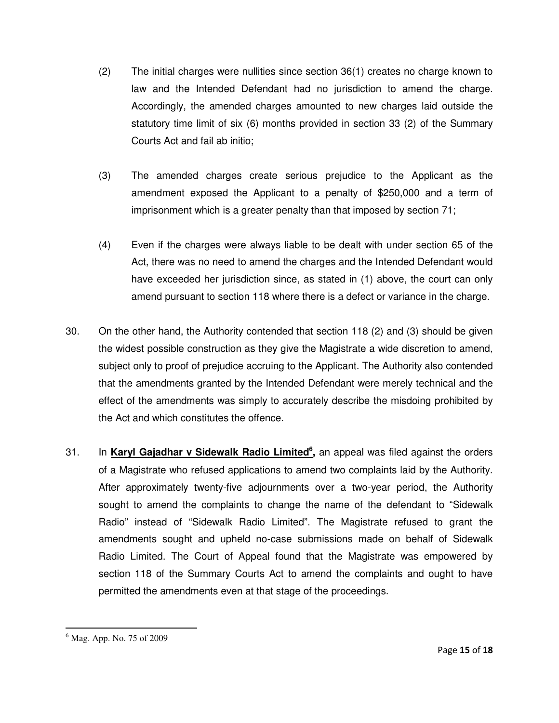- (2) The initial charges were nullities since section 36(1) creates no charge known to law and the Intended Defendant had no jurisdiction to amend the charge. Accordingly, the amended charges amounted to new charges laid outside the statutory time limit of six (6) months provided in section 33 (2) of the Summary Courts Act and fail ab initio;
- (3) The amended charges create serious prejudice to the Applicant as the amendment exposed the Applicant to a penalty of \$250,000 and a term of imprisonment which is a greater penalty than that imposed by section 71;
- (4) Even if the charges were always liable to be dealt with under section 65 of the Act, there was no need to amend the charges and the Intended Defendant would have exceeded her jurisdiction since, as stated in (1) above, the court can only amend pursuant to section 118 where there is a defect or variance in the charge.
- 30. On the other hand, the Authority contended that section 118 (2) and (3) should be given the widest possible construction as they give the Magistrate a wide discretion to amend, subject only to proof of prejudice accruing to the Applicant. The Authority also contended that the amendments granted by the Intended Defendant were merely technical and the effect of the amendments was simply to accurately describe the misdoing prohibited by the Act and which constitutes the offence.
- 31. In **Karyl Gajadhar v Sidewalk Radio Limited<sup>6</sup> ,** an appeal was filed against the orders of a Magistrate who refused applications to amend two complaints laid by the Authority. After approximately twenty-five adjournments over a two-year period, the Authority sought to amend the complaints to change the name of the defendant to "Sidewalk Radio" instead of "Sidewalk Radio Limited". The Magistrate refused to grant the amendments sought and upheld no-case submissions made on behalf of Sidewalk Radio Limited. The Court of Appeal found that the Magistrate was empowered by section 118 of the Summary Courts Act to amend the complaints and ought to have permitted the amendments even at that stage of the proceedings.

<sup>6</sup> Mag. App. No. 75 of 2009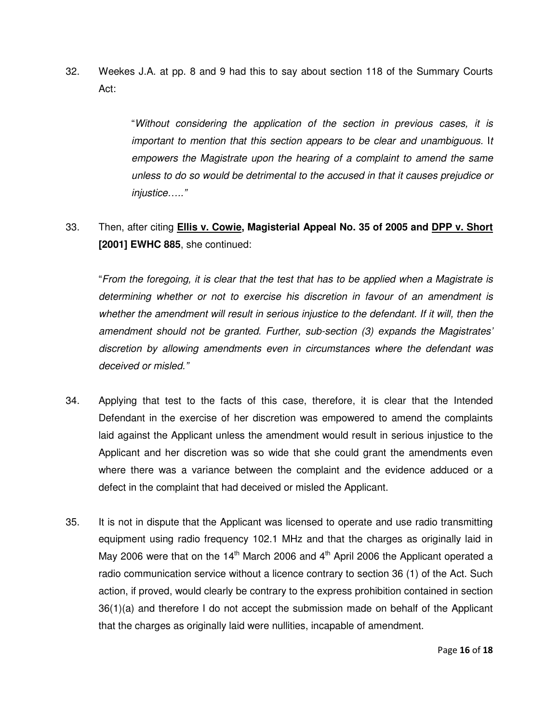32. Weekes J.A. at pp. 8 and 9 had this to say about section 118 of the Summary Courts Act:

> "Without considering the application of the section in previous cases, it is important to mention that this section appears to be clear and unambiguous. It empowers the Magistrate upon the hearing of a complaint to amend the same unless to do so would be detrimental to the accused in that it causes prejudice or injustice….."

33. Then, after citing **Ellis v. Cowie, Magisterial Appeal No. 35 of 2005 and DPP v. Short [2001] EWHC 885**, she continued:

"From the foregoing, it is clear that the test that has to be applied when a Magistrate is determining whether or not to exercise his discretion in favour of an amendment is whether the amendment will result in serious injustice to the defendant. If it will, then the amendment should not be granted. Further, sub-section (3) expands the Magistrates' discretion by allowing amendments even in circumstances where the defendant was deceived or misled."

- 34. Applying that test to the facts of this case, therefore, it is clear that the Intended Defendant in the exercise of her discretion was empowered to amend the complaints laid against the Applicant unless the amendment would result in serious injustice to the Applicant and her discretion was so wide that she could grant the amendments even where there was a variance between the complaint and the evidence adduced or a defect in the complaint that had deceived or misled the Applicant.
- 35. It is not in dispute that the Applicant was licensed to operate and use radio transmitting equipment using radio frequency 102.1 MHz and that the charges as originally laid in May 2006 were that on the 14<sup>th</sup> March 2006 and  $4<sup>th</sup>$  April 2006 the Applicant operated a radio communication service without a licence contrary to section 36 (1) of the Act. Such action, if proved, would clearly be contrary to the express prohibition contained in section 36(1)(a) and therefore I do not accept the submission made on behalf of the Applicant that the charges as originally laid were nullities, incapable of amendment.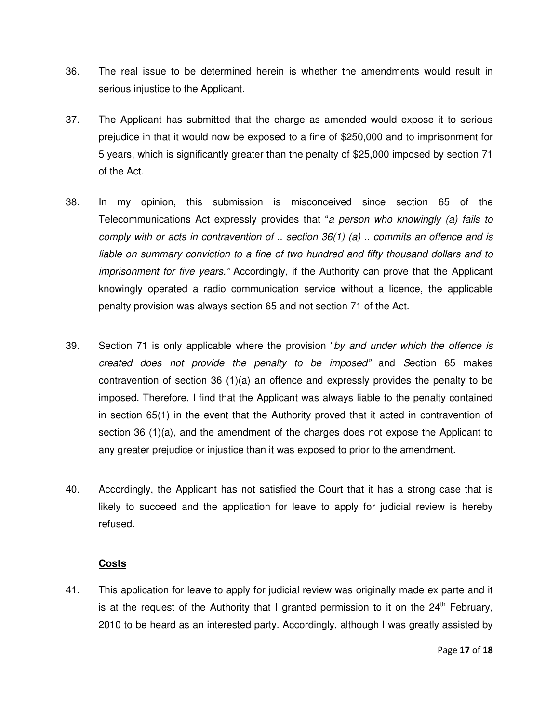- 36. The real issue to be determined herein is whether the amendments would result in serious injustice to the Applicant.
- 37. The Applicant has submitted that the charge as amended would expose it to serious prejudice in that it would now be exposed to a fine of \$250,000 and to imprisonment for 5 years, which is significantly greater than the penalty of \$25,000 imposed by section 71 of the Act.
- 38. In my opinion, this submission is misconceived since section 65 of the Telecommunications Act expressly provides that "a person who knowingly (a) fails to comply with or acts in contravention of  $\ldots$  section 36(1) (a)  $\ldots$  commits an offence and is liable on summary conviction to a fine of two hundred and fifty thousand dollars and to imprisonment for five years." Accordingly, if the Authority can prove that the Applicant knowingly operated a radio communication service without a licence, the applicable penalty provision was always section 65 and not section 71 of the Act.
- 39. Section 71 is only applicable where the provision "by and under which the offence is created does not provide the penalty to be imposed" and Section 65 makes contravention of section 36 (1)(a) an offence and expressly provides the penalty to be imposed. Therefore, I find that the Applicant was always liable to the penalty contained in section 65(1) in the event that the Authority proved that it acted in contravention of section 36 (1)(a), and the amendment of the charges does not expose the Applicant to any greater prejudice or injustice than it was exposed to prior to the amendment.
- 40. Accordingly, the Applicant has not satisfied the Court that it has a strong case that is likely to succeed and the application for leave to apply for judicial review is hereby refused.

## **Costs**

41. This application for leave to apply for judicial review was originally made ex parte and it is at the request of the Authority that I granted permission to it on the  $24<sup>th</sup>$  February, 2010 to be heard as an interested party. Accordingly, although I was greatly assisted by